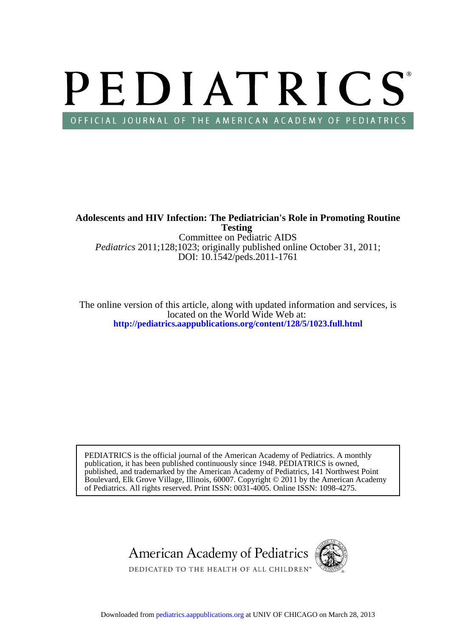# PEDIATRICS OFFICIAL JOURNAL OF THE AMERICAN ACADEMY OF PEDIATRICS

DOI: 10.1542/peds.2011-1761 *Pediatrics* 2011;128;1023; originally published online October 31, 2011; Committee on Pediatric AIDS **Testing Adolescents and HIV Infection: The Pediatrician's Role in Promoting Routine**

**<http://pediatrics.aappublications.org/content/128/5/1023.full.html>** located on the World Wide Web at: The online version of this article, along with updated information and services, is

of Pediatrics. All rights reserved. Print ISSN: 0031-4005. Online ISSN: 1098-4275. Boulevard, Elk Grove Village, Illinois, 60007. Copyright © 2011 by the American Academy published, and trademarked by the American Academy of Pediatrics, 141 Northwest Point publication, it has been published continuously since 1948. PEDIATRICS is owned, PEDIATRICS is the official journal of the American Academy of Pediatrics. A monthly

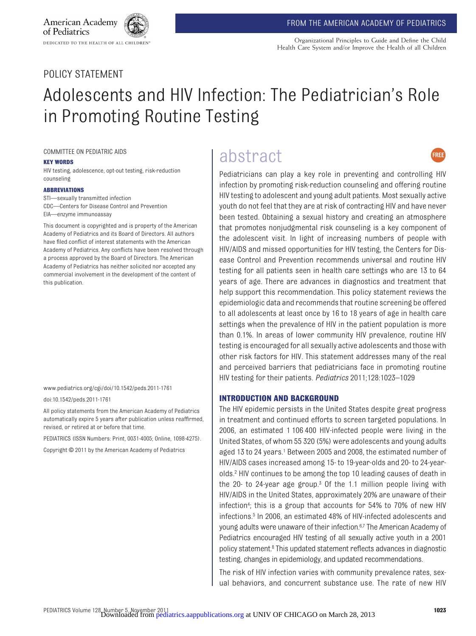Organizational Principles to Guide and Define the Child Health Care System and/or Improve the Health of all Children

# POLICY STATEMENT

DEDICATED TO THE HEALTH OF ALL CHILDREN

**American Academy** 

of Pediatrics

# Adolescents and HIV Infection: The Pediatrician's Role in Promoting Routine Testing

COMMITTEE ON PEDIATRIC AIDS

#### **KEY WORDS**

HIV testing, adolescence, opt-out testing, risk-reduction counseling

#### **ABBREVIATIONS**

STI—sexually transmitted infection CDC—Centers for Disease Control and Prevention EIA—enzyme immunoassay

This document is copyrighted and is property of the American Academy of Pediatrics and its Board of Directors. All authors have filed conflict of interest statements with the American Academy of Pediatrics. Any conflicts have been resolved through a process approved by the Board of Directors. The American Academy of Pediatrics has neither solicited nor accepted any commercial involvement in the development of the content of this publication.

www.pediatrics.org/cgi/doi/10.1542/peds.2011-1761

doi:10.1542/peds.2011-1761

All policy statements from the American Academy of Pediatrics automatically expire 5 years after publication unless reaffirmed, revised, or retired at or before that time.

PEDIATRICS (ISSN Numbers: Print, 0031-4005; Online, 1098-4275).

Copyright © 2011 by the American Academy of Pediatrics

# abstract

Pediatricians can play a key role in preventing and controlling HIV infection by promoting risk-reduction counseling and offering routine HIV testing to adolescent and young adult patients. Most sexually active youth do not feel that they are at risk of contracting HIV and have never been tested. Obtaining a sexual history and creating an atmosphere that promotes nonjudgmental risk counseling is a key component of the adolescent visit. In light of increasing numbers of people with HIV/AIDS and missed opportunities for HIV testing, the Centers for Disease Control and Prevention recommends universal and routine HIV testing for all patients seen in health care settings who are 13 to 64 years of age. There are advances in diagnostics and treatment that help support this recommendation. This policy statement reviews the epidemiologic data and recommends that routine screening be offered to all adolescents at least once by 16 to 18 years of age in health care settings when the prevalence of HIV in the patient population is more than 0.1%. In areas of lower community HIV prevalence, routine HIV testing is encouraged for all sexually active adolescents and those with other risk factors for HIV. This statement addresses many of the real and perceived barriers that pediatricians face in promoting routine HIV testing for their patients. *Pediatrics* 2011;128:1023–1029

# **INTRODUCTION AND BACKGROUND**

The HIV epidemic persists in the United States despite great progress in treatment and continued efforts to screen targeted populations. In 2006, an estimated 1 106 400 HIV-infected people were living in the United States, of whom 55 320 (5%) were adolescents and young adults aged 13 to 24 years.<sup>1</sup> Between 2005 and 2008, the estimated number of HIV/AIDS cases increased among 15- to 19-year-olds and 20- to 24-yearolds[.2](#page-6-1) HIV continues to be among the top 10 leading causes of death in the 20- to 24-year age group.<sup>3</sup> Of the 1.1 million people living with HIV/AIDS in the United States, approximately 20% are unaware of their infection<sup>4</sup>; this is a group that accounts for 54% to 70% of new HIV infections[.5](#page-6-4) In 2006, an estimated 48% of HIV-infected adolescents and young adults were unaware of their infection.<sup>6,[7](#page-6-6)</sup> The American Academy of Pediatrics encouraged HIV testing of all sexually active youth in a 2001 policy statement[.8](#page-6-7) This updated statement reflects advances in diagnostic testing, changes in epidemiology, and updated recommendations.

The risk of HIV infection varies with community prevalence rates, sexual behaviors, and concurrent substance use. The rate of new HIV

FREE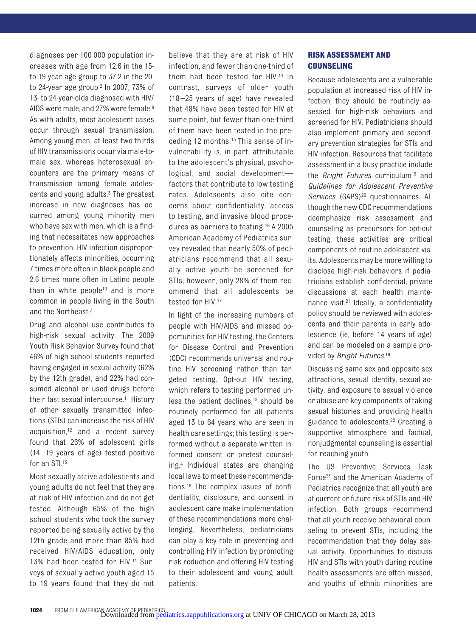diagnoses per 100 000 population increases with age from 12.6 in the 15 to 19-year age group to 37.2 in the 20 to 24-year age group.<sup>2</sup> In 2007, 73% of 13- to 24-year-olds diagnosed with HIV/ AIDS were male, and 27% were female[.9](#page-6-8) As with adults, most adolescent cases occur through sexual transmission. Among young men, at least two-thirds of HIV transmissions occur via male-tomale sex, whereas heterosexual encounters are the primary means of transmission among female adolescents and young adults[.3](#page-6-2) The greatest increase in new diagnoses has occurred among young minority men who have sex with men, which is a finding that necessitates new approaches to prevention. HIV infection disproportionately affects minorities, occurring 7 times more often in black people and 2.6 times more often in Latino people than in white peopl[e10](#page-6-9) and is more common in people living in the South and the Northeast[.3](#page-6-2)

Drug and alcohol use contributes to high-risk sexual activity. The 2009 Youth Risk Behavior Survey found that 46% of high school students reported having engaged in sexual activity (62% by the 12th grade), and 22% had consumed alcohol or used drugs before their last sexual intercourse[.11](#page-6-10) History of other sexually transmitted infections (STIs) can increase the risk of HIV acquisition, $12$  and a recent survey found that 26% of adolescent girls (14 –19 years of age) tested positive for an STI.<sup>13</sup>

Most sexually active adolescents and young adults do not feel that they are at risk of HIV infection and do not get tested. Although 65% of the high school students who took the survey reported being sexually active by the 12th grade and more than 85% had received HIV/AIDS education, only 13% had been tested for HIV.<sup>11</sup> Surveys of sexually active youth aged 15 to 19 years found that they do not

believe that they are at risk of HIV infection, and fewer than one-third of them had been tested for HIV[.14](#page-7-0) In contrast, surveys of older youth (18 –25 years of age) have revealed that 48% have been tested for HIV at some point, but fewer than one-third of them have been tested in the preceding 12 months[.15](#page-7-1) This sense of invulnerability is, in part, attributable to the adolescent's physical, psychological, and social development factors that contribute to low testing rates. Adolescents also cite concerns about confidentiality, access to testing, and invasive blood procedures as barriers to testing[.16](#page-7-2) A 2005 American Academy of Pediatrics survey revealed that nearly 50% of pediatricians recommend that all sexually active youth be screened for STIs; however, only 28% of them recommend that all adolescents be tested for HIV[.17](#page-7-3)

In light of the increasing numbers of people with HIV/AIDS and missed opportunities for HIV testing, the Centers for Disease Control and Prevention (CDC) recommends universal and routine HIV screening rather than targeted testing. Opt-out HIV testing, which refers to testing performed unless the patient declines[,18](#page-7-4) should be routinely performed for all patients aged 13 to 64 years who are seen in health care settings; this testing is performed without a separate written informed consent or pretest counseling[.4](#page-6-3) Individual states are changing local laws to meet these recommendations[.18](#page-7-4) The complex issues of confidentiality, disclosure, and consent in adolescent care make implementation of these recommendations more challenging. Nevertheless, pediatricians can play a key role in preventing and controlling HIV infection by promoting risk reduction and offering HIV testing to their adolescent and young adult patients.

# **RISK ASSESSMENT AND COUNSELING**

Because adolescents are a vulnerable population at increased risk of HIV infection, they should be routinely assessed for high-risk behaviors and screened for HIV. Pediatricians should also implement primary and secondary prevention strategies for STIs and HIV infection. Resources that facilitate assessment in a busy practice include the *Bright Futures* curriculu[m19](#page-7-5) and *Guidelines for Adolescent Preventive Services* (GAPS[\)20](#page-7-6) questionnaires. Although the new CDC recommendations deemphasize risk assessment and counseling as precursors for opt-out testing, these activities are critical components of routine adolescent visits. Adolescents may be more willing to disclose high-risk behaviors if pediatricians establish confidential, private discussions at each health maintenance visit.<sup>21</sup> Ideally, a confidentiality policy should be reviewed with adolescents and their parents in early adolescence (ie, before 14 years of age) and can be modeled on a sample provided by *Bright Futures*. [19](#page-7-5)

Discussing same-sex and opposite-sex attractions, sexual identity, sexual activity, and exposure to sexual violence or abuse are key components of taking sexual histories and providing health guidance to adolescents[.22](#page-7-8) Creating a supportive atmosphere and factual, nonjudgmental counseling is essential for reaching youth.

The US Preventive Services Task Force<sup>23</sup> and the American Academy of Pediatrics recognize that all youth are at current or future risk of STIs and HIV infection. Both groups recommend that all youth receive behavioral counseling to prevent STIs, including the recommendation that they delay sexual activity. Opportunities to discuss HIV and STIs with youth during routine health assessments are often missed, and youths of ethnic minorities are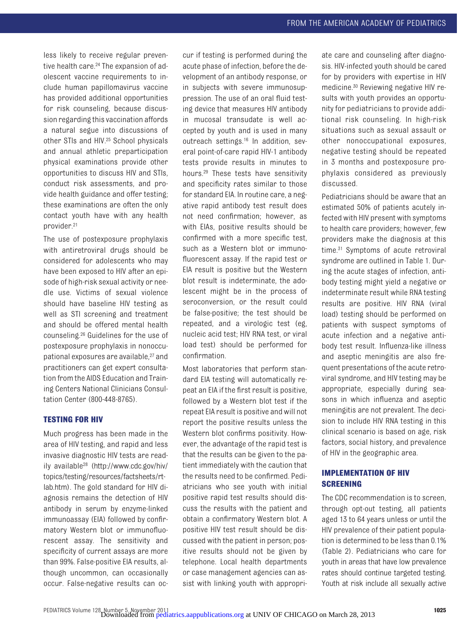less likely to receive regular preventive health care[.24](#page-7-10) The expansion of adolescent vaccine requirements to include human papillomavirus vaccine has provided additional opportunities for risk counseling, because discussion regarding this vaccination affords a natural segue into discussions of other STIs and HIV[.25](#page-7-11) School physicals and annual athletic preparticipation physical examinations provide other opportunities to discuss HIV and STIs, conduct risk assessments, and provide health guidance and offer testing; these examinations are often the only contact youth have with any health provider[.21](#page-7-7)

The use of postexposure prophylaxis with antiretroviral drugs should be considered for adolescents who may have been exposed to HIV after an episode of high-risk sexual activity or needle use. Victims of sexual violence should have baseline HIV testing as well as STI screening and treatment and should be offered mental health counseling[.26](#page-7-12) Guidelines for the use of postexposure prophylaxis in nonoccupational exposures are available,<sup>27</sup> and practitioners can get expert consultation from the AIDS Education and Training Centers National Clinicians Consultation Center (800-448-8765).

# **TESTING FOR HIV**

Much progress has been made in the area of HIV testing, and rapid and less invasive diagnostic HIV tests are readily availabl[e28](#page-7-14) [\(http://www.cdc.gov/hiv/](http://www.cdc.gov/hiv/topics/testing/resources/factsheets/rt-lab.htm) [topics/testing/resources/factsheets/rt](http://www.cdc.gov/hiv/topics/testing/resources/factsheets/rt-lab.htm)[lab.htm\)](http://www.cdc.gov/hiv/topics/testing/resources/factsheets/rt-lab.htm). The gold standard for HIV diagnosis remains the detection of HIV antibody in serum by enzyme-linked immunoassay (EIA) followed by confirmatory Western blot or immunofluorescent assay. The sensitivity and specificity of current assays are more than 99%. False-positive EIA results, although uncommon, can occasionally occur. False-negative results can occur if testing is performed during the acute phase of infection, before the development of an antibody response, or in subjects with severe immunosuppression. The use of an oral fluid testing device that measures HIV antibody in mucosal transudate is well accepted by youth and is used in many outreach settings[.16](#page-7-2) In addition, several point-of-care rapid HIV-1 antibody tests provide results in minutes to hours[.29](#page-7-15) These tests have sensitivity and specificity rates similar to those for standard EIA. In routine care, a negative rapid antibody test result does not need confirmation; however, as with EIAs, positive results should be confirmed with a more specific test, such as a Western blot or immunofluorescent assay. If the rapid test or EIA result is positive but the Western blot result is indeterminate, the adolescent might be in the process of seroconversion, or the result could be false-positive; the test should be repeated, and a virologic test (eg, nucleic acid test; HIV RNA test, or viral load test) should be performed for confirmation.

Most laboratories that perform standard EIA testing will automatically repeat an EIA if the first result is positive, followed by a Western blot test if the repeat EIA result is positive and will not report the positive results unless the Western blot confirms positivity. However, the advantage of the rapid test is that the results can be given to the patient immediately with the caution that the results need to be confirmed. Pediatricians who see youth with initial positive rapid test results should discuss the results with the patient and obtain a confirmatory Western blot. A positive HIV test result should be discussed with the patient in person; positive results should not be given by telephone. Local health departments or case management agencies can assist with linking youth with appropri-

ate care and counseling after diagnosis. HIV-infected youth should be cared for by providers with expertise in HIV medicine[.30](#page-7-16) Reviewing negative HIV results with youth provides an opportunity for pediatricians to provide additional risk counseling. In high-risk situations such as sexual assault or other nonoccupational exposures, negative testing should be repeated in 3 months and postexposure prophylaxis considered as previously discussed.

Pediatricians should be aware that an estimated 50% of patients acutely infected with HIV present with symptoms to health care providers; however, few providers make the diagnosis at this time[.31](#page-7-17) Symptoms of acute retroviral syndrome are outlined in [Table 1.](#page-4-0) During the acute stages of infection, antibody testing might yield a negative or indeterminate result while RNA testing results are positive. HIV RNA (viral load) testing should be performed on patients with suspect symptoms of acute infection and a negative antibody test result. Influenza-like illness and aseptic meningitis are also frequent presentations of the acute retroviral syndrome, and HIV testing may be appropriate, especially during seasons in which influenza and aseptic meningitis are not prevalent. The decision to include HIV RNA testing in this clinical scenario is based on age, risk factors, social history, and prevalence of HIV in the geographic area.

# **IMPLEMENTATION OF HIV SCREENING**

The CDC recommendation is to screen, through opt-out testing, all patients aged 13 to 64 years unless or until the HIV prevalence of their patient population is determined to be less than 0.1% [\(Table 2\)](#page-4-1). Pediatricians who care for youth in areas that have low prevalence rates should continue targeted testing. Youth at risk include all sexually active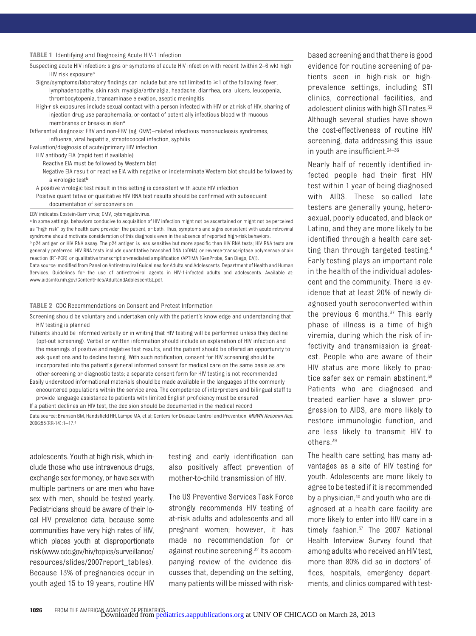#### <span id="page-4-0"></span>**TABLE 1** Identifying and Diagnosing Acute HIV-1 Infection

- Suspecting acute HIV infection: signs or symptoms of acute HIV infection with recent (within 2–6 wk) high HIV risk exposure<sup>a</sup>
- Signs/symptoms/laboratory findings can include but are not limited to  $\geq 1$  of the following: fever, lymphadenopathy, skin rash, myalgia/arthralgia, headache, diarrhea, oral ulcers, leucopenia, thrombocytopenia, transaminase elevation, aseptic meningitis
- High-risk exposures include sexual contact with a person infected with HIV or at risk of HIV, sharing of injection drug use paraphernalia, or contact of potentially infectious blood with mucous membranes or breaks in skin<sup>a</sup>
- Differential diagnosis: EBV and non-EBV (eg, CMV)–related infectious mononucleosis syndromes, influenza, viral hepatitis, streptococcal infection, syphilis
- Evaluation/diagnosis of acute/primary HIV infection

# HIV antibody EIA (rapid test if available)

- Reactive EIA must be followed by Western blot
- Negative EIA result or reactive EIA with negative or indeterminate Western blot should be followed by a virologic test<sup>b</sup>

A positive virologic test result in this setting is consistent with acute HIV infection

Positive quantitative or qualitative HIV RNA test results should be confirmed with subsequent documentation of seroconversion

EBV indicates Epstein-Barr virus; CMV, cytomegalovirus.

a In some settings, behaviors conducive to acquisition of HIV infection might not be ascertained or might not be perceived as "high risk" by the health care provider, the patient, or both. Thus, symptoms and signs consistent with acute retroviral syndrome should motivate consideration of this diagnosis even in the absence of reported high-risk behaviors. b p24 antigen or HIV RNA assay. The p24 antigen is less sensitive but more specific than HIV RNA tests; HIV RNA tests are generally preferred. HIV RNA tests include quantitative branched DNA (bDNA) or reverse-transcriptase polymerase chain reaction (RT-PCR) or qualitative transcription-mediated amplification (APTIMA [GenProbe, San Diego, CA]).

Data source: modified from Panel on Antiretroviral Guidelines for Adults and Adolescents. Department of Health and Human Services. Guidelines for the use of antiretroviral agents in HIV-1-infected adults and adolescents. Available at: [www.aidsinfo.nih.gov/ContentFiles/AdultandAdolescentGL.pdf.](www.aidsinfo.nih.gov/ContentFiles/AdultandAdolescentGL.pdf)

#### <span id="page-4-1"></span>**TABLE 2** CDC Recommendations on Consent and Pretest Information

- Screening should be voluntary and undertaken only with the patient's knowledge and understanding that HIV testing is planned
- Patients should be informed verbally or in writing that HIV testing will be performed unless they decline (opt-out screening). Verbal or written information should include an explanation of HIV infection and the meanings of positive and negative test results, and the patient should be offered an opportunity to ask questions and to decline testing. With such notification, consent for HIV screening should be incorporated into the patient's general informed consent for medical care on the same basis as are other screening or diagnostic tests; a separate consent form for HIV testing is not recommended
- Easily understood informational materials should be made available in the languages of the commonly encountered populations within the service area. The competence of interpreters and bilingual staff to provide language assistance to patients with limited English proficiency must be ensured If a patient declines an HIV test, the decision should be documented in the medical record

Data source: Branson BM, Handsfield HH, Lampe MA, et al; Centers for Disease Control and Prevention. *MMWR Recomm Rep*. 2006;55(RR-14):1–17[.4](#page-6-3)

adolescents. Youth at high risk, which include those who use intravenous drugs, exchange sex for money, or have sex with multiple partners or are men who have sex with men, should be tested yearly. Pediatricians should be aware of their local HIV prevalence data, because some communities have very high rates of HIV, which places youth at disproportionate risk[\(www.cdc.gov/hiv/topics/surveillance/](www.cdc.gov/hiv/topics/surveillance/resources/slides/2007report_tables) [resources/slides/2007report\\_tables\)](www.cdc.gov/hiv/topics/surveillance/resources/slides/2007report_tables). Because 13% of pregnancies occur in youth aged 15 to 19 years, routine HIV

testing and early identification can also positively affect prevention of mother-to-child transmission of HIV.

The US Preventive Services Task Force strongly recommends HIV testing of at-risk adults and adolescents and all pregnant women; however, it has made no recommendation for or against routine screening.<sup>32</sup> Its accompanying review of the evidence discusses that, depending on the setting, many patients will be missed with riskbased screening and that there is good evidence for routine screening of patients seen in high-risk or highprevalence settings, including STI clinics, correctional facilities, and adolescent clinics with high STI rates[.33](#page-7-19) Although several studies have shown the cost-effectiveness of routine HIV screening, data addressing this issue in youth are insufficient[.34](#page-7-20)[–36](#page-7-21)

Nearly half of recently identified infected people had their first HIV test within 1 year of being diagnosed with AIDS. These so-called late testers are generally young, heterosexual, poorly educated, and black or Latino, and they are more likely to be identified through a health care setting than through targeted testing[.4](#page-6-3) Early testing plays an important role in the health of the individual adolescent and the community. There is evidence that at least 20% of newly diagnosed youth seroconverted within the previous  $6$  months. $37$  This early phase of illness is a time of high viremia, during which the risk of infectivity and transmission is greatest. People who are aware of their HIV status are more likely to practice safer sex or remain abstinent.<sup>38</sup> Patients who are diagnosed and treated earlier have a slower progression to AIDS, are more likely to restore immunologic function, and are less likely to transmit HIV to others[.39](#page-7-24)

The health care setting has many advantages as a site of HIV testing for youth. Adolescents are more likely to agree to be tested if it is recommended by a physician,<sup>40</sup> and youth who are diagnosed at a health care facility are more likely to enter into HIV care in a timely fashion.<sup>37</sup> The 2007 National Health Interview Survey found that among adults who received an HIV test, more than 80% did so in doctors' offices, hospitals, emergency departments, and clinics compared with test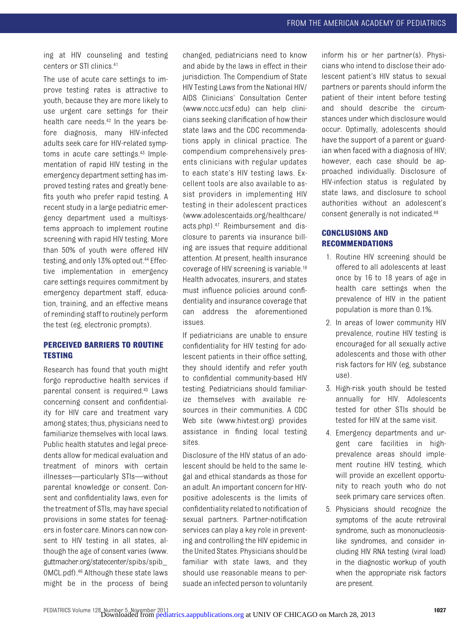ing at HIV counseling and testing centers or STI clinics[.41](#page-7-26)

The use of acute care settings to improve testing rates is attractive to youth, because they are more likely to use urgent care settings for their health care needs.<sup>42</sup> In the years before diagnosis, many HIV-infected adults seek care for HIV-related symptoms in acute care settings[.43](#page-7-28) Implementation of rapid HIV testing in the emergency department setting has improved testing rates and greatly benefits youth who prefer rapid testing. A recent study in a large pediatric emergency department used a multisystems approach to implement routine screening with rapid HIV testing. More than 50% of youth were offered HIV testing, and only 13% opted out.<sup>44</sup> Effective implementation in emergency care settings requires commitment by emergency department staff, education, training, and an effective means of reminding staff to routinely perform the test (eg, electronic prompts).

# **PERCEIVED BARRIERS TO ROUTINE TESTING**

Research has found that youth might forgo reproductive health services if parental consent is required[.45](#page-7-30) Laws concerning consent and confidentiality for HIV care and treatment vary among states; thus, physicians need to familiarize themselves with local laws. Public health statutes and legal precedents allow for medical evaluation and treatment of minors with certain illnesses—particularly STIs—without parental knowledge or consent. Consent and confidentiality laws, even for the treatment of STIs, may have special provisions in some states for teenagers in foster care. Minors can now consent to HIV testing in all states, although the age of consent varies [\(www.](www.guttmacher.org/statecenter/spibs/spib_OMCL.pdf) [guttmacher.org/statecenter/spibs/spib\\_](www.guttmacher.org/statecenter/spibs/spib_OMCL.pdf) [OMCL.pdf\)](www.guttmacher.org/statecenter/spibs/spib_OMCL.pdf)[.46](#page-7-31) Although these state laws might be in the process of being changed, pediatricians need to know and abide by the laws in effect in their jurisdiction. The Compendium of State HIV Testing Laws from the National HIV/ AIDS Clinicians' Consultation Center [\(www.nccc.ucsf.edu\)](www.nccc.ucsf.edu) can help clinicians seeking clarification of how their state laws and the CDC recommendations apply in clinical practice. The compendium comprehensively presents clinicians with regular updates to each state's HIV testing laws. Excellent tools are also available to assist providers in implementing HIV testing in their adolescent practices [\(www.adolescentaids.org/healthcare/](www.adolescentaids.org/healthcare/acts.php) [acts.php\)](www.adolescentaids.org/healthcare/acts.php)[.47](#page-7-32) Reimbursement and disclosure to parents via insurance billing are issues that require additional attention. At present, health insurance coverage of HIV screening is variable[.18](#page-7-4) Health advocates, insurers, and states must influence policies around confidentiality and insurance coverage that can address the aforementioned issues.

If pediatricians are unable to ensure confidentiality for HIV testing for adolescent patients in their office setting, they should identify and refer youth to confidential community-based HIV testing. Pediatricians should familiarize themselves with available resources in their communities. A CDC Web site [\(www.hivtest.org\)](www.hivtest.org) provides assistance in finding local testing sites.

Disclosure of the HIV status of an adolescent should be held to the same legal and ethical standards as those for an adult. An important concern for HIVpositive adolescents is the limits of confidentiality related to notification of sexual partners. Partner-notification services can play a key role in preventing and controlling the HIV epidemic in the United States. Physicians should be familiar with state laws, and they should use reasonable means to persuade an infected person to voluntarily

inform his or her partner(s). Physicians who intend to disclose their adolescent patient's HIV status to sexual partners or parents should inform the patient of their intent before testing and should describe the circumstances under which disclosure would occur. Optimally, adolescents should have the support of a parent or guardian when faced with a diagnosis of HIV; however, each case should be approached individually. Disclosure of HIV-infection status is regulated by state laws, and disclosure to school authorities without an adolescent's consent generally is not indicated[.48](#page-7-33)

# **CONCLUSIONS AND RECOMMENDATIONS**

- 1. Routine HIV screening should be offered to all adolescents at least once by 16 to 18 years of age in health care settings when the prevalence of HIV in the patient population is more than 0.1%.
- 2. In areas of lower community HIV prevalence, routine HIV testing is encouraged for all sexually active adolescents and those with other risk factors for HIV (eg, substance use).
- 3. High-risk youth should be tested annually for HIV. Adolescents tested for other STIs should be tested for HIV at the same visit.
- 4. Emergency departments and urgent care facilities in highprevalence areas should implement routine HIV testing, which will provide an excellent opportunity to reach youth who do not seek primary care services often.
- 5. Physicians should recognize the symptoms of the acute retroviral syndrome, such as mononucleosislike syndromes, and consider including HIV RNA testing (viral load) in the diagnostic workup of youth when the appropriate risk factors are present.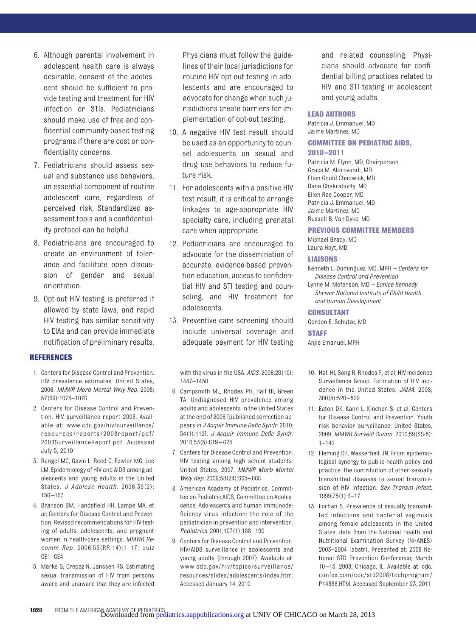- 6. Although parental involvement in adolescent health care is always desirable, consent of the adolescent should be sufficient to provide testing and treatment for HIV infection or STIs. Pediatricians should make use of free and confidential community-based testing programs if there are cost or confidentiality concerns.
- 7. Pediatricians should assess sexual and substance use behaviors, an essential component of routine adolescent care, regardless of perceived risk. Standardized assessment tools and a confidentiality protocol can be helpful.
- 8. Pediatricians are encouraged to create an environment of tolerance and facilitate open discussion of gender and sexual orientation.
- 9. Opt-out HIV testing is preferred if allowed by state laws, and rapid HIV testing has similar sensitivity to EIAs and can provide immediate notification of preliminary results.

# **REFERENCES**

- <span id="page-6-0"></span>1. Centers for Disease Control and Prevention. HIV prevalence estimates: United States, 2006. *MMWR Morb Mortal Wkly Rep*. 2008; 57(39):1073–1076
- <span id="page-6-1"></span>2. Centers for Disease Control and Prevention. HIV surveillance report 2008. Available at: [www.cdc.gov/hiv/surveillance/](www.cdc.gov/hiv/surveillance/resources/reports/2008report/pdf/2008SurveillanceReport.pdf) [resources/reports/2008report/pdf/](www.cdc.gov/hiv/surveillance/resources/reports/2008report/pdf/2008SurveillanceReport.pdf) [2008SurveillanceReport.pdf.](www.cdc.gov/hiv/surveillance/resources/reports/2008report/pdf/2008SurveillanceReport.pdf) Accessed July 5, 2010
- <span id="page-6-2"></span>3. Rangel MC, Gavin L, Reed C, Fowler MG, Lee LM. Epidemiology of HIV and AIDS among adolescents and young adults in the United States. *J Adolesc Health*. 2006;39(2): 156 –163
- <span id="page-6-3"></span>4. Branson BM, Handsfield HH, Lampe MA, et al; Centers for Disease Control and Prevention. Revised recommendations for HIV testing of adults, adolescents, and pregnant women in health-care settings. *MMWR Recomm Rep*. 2006;55(RR-14):1–17; quiz CE1–CE4
- <span id="page-6-4"></span>5. Marks G, Crepaz N, Janssen RS. Estimating sexual transmission of HIV from persons aware and unaware that they are infected

Physicians must follow the guidelines of their local jurisdictions for routine HIV opt-out testing in adolescents and are encouraged to advocate for change when such jurisdictions create barriers for implementation of opt-out testing.

- 10. A negative HIV test result should be used as an opportunity to counsel adolescents on sexual and drug use behaviors to reduce future risk.
- 11. For adolescents with a positive HIV test result, it is critical to arrange linkages to age-appropriate HIV specialty care, including prenatal care when appropriate.
- 12. Pediatricians are encouraged to advocate for the dissemination of accurate, evidence-based prevention education, access to confidential HIV and STI testing and counseling, and HIV treatment for adolescents.
- 13. Preventive care screening should include universal coverage and adequate payment for HIV testing

with the virus in the USA. *AIDS*. 2006;20(10): 1447–1450

- <span id="page-6-5"></span>6. Campsmith ML, Rhodes PH, Hall HI, Green TA. Undiagnosed HIV prevalence among adults and adolescents in the United States at the end of 2006 [published correction appears in *J Acquir Immune Defic Syndr*. 2010; 54(1):112]. *J Acquir Immune Defic Syndr*. 2010;53(5):619 – 624
- <span id="page-6-6"></span>7. Centers for Disease Control and Prevention. HIV testing among high school students: United States, 2007. *MMWR Morb Mortal Wkly Rep*. 2009;58(24):665– 668
- <span id="page-6-7"></span>8. American Academy of Pediatrics, Committee on Pediatric AIDS, Committee on Adolescence. Adolescents and human immunodeficiency virus infection: the role of the pediatrician in prevention and intervention. *Pediatrics*. 2001;107(1):188 –190
- <span id="page-6-8"></span>9. Centers for Disease Control and Prevention. HIV/AIDS surveillance in adolescents and young adults (through 2007). Available at: [www.cdc.gov/hiv/topics/surveillance/](www.cdc.gov/hiv/topics/surveillance/resources/slides/adolescents/index.htm) [resources/slides/adolescents/index.htm.](www.cdc.gov/hiv/topics/surveillance/resources/slides/adolescents/index.htm) Accessed January 14, 2010

and related counseling. Physicians should advocate for confidential billing practices related to HIV and STI testing in adolescent and young adults.

#### **LEAD AUTHORS**

Patricia J. Emmanuel, MD Jaime Martinez, MD

# **COMMITTEE ON PEDIATRIC AIDS,**

# **2010 –2011**

Patricia M. Flynn, MD, Chairperson Grace M. Aldrovandi, MD Ellen Gould Chadwick, MD Rana Chakraborty, MD Ellen Rae Cooper, MD Patricia J. Emmanuel, MD Jaime Martinez, MD Russell B. Van Dyke, MD

# **PREVIOUS COMMITTEE MEMBERS**

Michael Brady, MD Laura Hoyt, MD

# **LIAISONS**

Kenneth L. Dominguez, MD, MPH *– Centers for Disease Control and Prevention* Lynne M. Mofenson, MD *– Eunice Kennedy Shriver National Institute of Child Health and Human Development*

#### **CONSULTANT**

Gordon E. Schutze, MD

#### **STAFF**

Anjie Emanuel, MPH

- <span id="page-6-9"></span>10. Hall HI, Song R, Rhodes P, et al; HIV Incidence Surveillance Group. Estimation of HIV incidence in the United States. *JAMA*. 2008; 300(5):520 –529
- <span id="page-6-10"></span>11. Eaton DK, Kann L, Kinchen S, et al; Centers for Disease Control and Prevention. Youth risk behavior surveillance: United States, 2009. *MMWR Surveill Summ*. 2010;59(SS-5): 1–142
- <span id="page-6-11"></span>12. Fleming DT, Wasserheit JN. From epidemiological synergy to public health policy and practice: the contribution of other sexually transmitted diseases to sexual transmission of HIV infection. *Sex Transm Infect*. 1999;75(1):3–17
- <span id="page-6-12"></span>13. Forhan S. Prevalence of sexually transmitted infections and bacterial vaginosis among female adolescents in the United States: data from the National Health and Nutritional Examination Survey (NHANES) 2003–2004 [abstr]. Presented at: 2008 National STD Prevention Conference; March 10 –13, 2008; Chicago, IL. Available at: [cdc.](cdc.confex.com/cdc/std2008/techprogram/P14888.HTM) [confex.com/cdc/std2008/techprogram/](cdc.confex.com/cdc/std2008/techprogram/P14888.HTM) [P14888.HTM.](cdc.confex.com/cdc/std2008/techprogram/P14888.HTM) Accessed September 23, 2011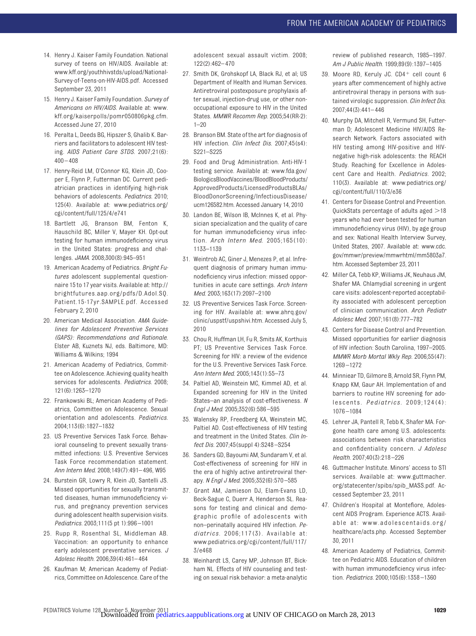- <span id="page-7-0"></span>14. Henry J. Kaiser Family Foundation. National survey of teens on HIV/AIDS. Available at: [www.kff.org/youthhivstds/upload/National-](www.kff.org/youthhivstds/upload/National-Survey-of-Teens-on-HIV-AIDS.pdf)[Survey-of-Teens-on-HIV-AIDS.pdf.](www.kff.org/youthhivstds/upload/National-Survey-of-Teens-on-HIV-AIDS.pdf) Accessed September 23, 2011
- <span id="page-7-1"></span>15. Henry J. Kaiser Family Foundation. *Survey of Americans on HIV/AIDS.* Available at: [www.](www.kff.org/kaiserpolls/pomr050806pkg.cfm) [kff.org/kaiserpolls/pomr050806pkg.cfm.](www.kff.org/kaiserpolls/pomr050806pkg.cfm) Accessed June 27, 2010
- <span id="page-7-2"></span>16. Peralta L, Deeds BG, Hipszer S, Ghalib K. Barriers and facilitators to adolescent HIV testing. *AIDS Patient Care STDS*. 2007;21(6):  $400 - 408$
- <span id="page-7-3"></span>17. Henry-Reid LM, O'Connor KG, Klein JD, Cooper E, Flynn P, Futterman DC. Current pediatrician practices in identifying high-risk behaviors of adolescents. *Pediatrics*. 2010; 125(4). Available at: [www.pediatrics.org/](www.pediatrics.org/cgi/content/full/125/4/e741) [cgi/content/full/125/4/e741](www.pediatrics.org/cgi/content/full/125/4/e741)
- <span id="page-7-4"></span>18. Bartlett JG, Branson BM, Fenton K, Hauschild BC, Miller V, Mayer KH. Opt-out testing for human immunodeficiency virus in the United States: progress and challenges. *JAMA*. 2008;300(8):945–951
- <span id="page-7-5"></span>19. American Academy of Pediatrics. *Bright Futures* adolescent supplemental questionnaire 15 to 17 year visits. Available at: [http://](brightfutures.aap.org/pdfs/D.Adol.SQ.Patient.15-17yr.SAMPLE.pdf) [brightfutures.aap.org/pdfs/D.Adol.SQ.](brightfutures.aap.org/pdfs/D.Adol.SQ.Patient.15-17yr.SAMPLE.pdf) [Patient.15-17yr.SAMPLE.pdf.](brightfutures.aap.org/pdfs/D.Adol.SQ.Patient.15-17yr.SAMPLE.pdf) Accessed February 2, 2010
- <span id="page-7-6"></span>20. American Medical Association. *AMA Guidelines for Adolescent Preventive Services (GAPS): Recommendations and Rationale*. Elster AB, Kuznets NJ, eds. Baltimore, MD: Williams & Wilkins; 1994
- <span id="page-7-7"></span>21. American Academy of Pediatrics, Committee on Adolescence. Achieving quality health services for adolescents. *Pediatrics*. 2008; 121(6):1263–1270
- <span id="page-7-8"></span>22. Frankowski BL; American Academy of Pediatrics, Committee on Adolescence. Sexual orientation and adolescents. *Pediatrics*. 2004;113(6):1827–1832
- <span id="page-7-9"></span>23. US Preventive Services Task Force. Behavioral counseling to prevent sexually transmitted infections: U.S. Preventive Services Task Force recommendation statement. *Ann Intern Med*. 2008;149(7):491– 496, W95
- <span id="page-7-10"></span>24. Burstein GR, Lowry R, Klein JD, Santelli JS. Missed opportunities for sexually transmitted diseases, human immunodeficiency virus, and pregnancy prevention services during adolescent health supervision visits. *Pediatrics*. 2003;111(5 pt 1):996 –1001
- <span id="page-7-11"></span>25. Rupp R, Rosenthal SL, Middleman AB. Vaccination: an opportunity to enhance early adolescent preventative services. *J Adolesc Health*. 2006;39(4):461– 464
- <span id="page-7-12"></span>26. Kaufman M; American Academy of Pediatrics, Committee on Adolescence. Care of the

adolescent sexual assault victim. 2008; 122(2):462– 470

- <span id="page-7-13"></span>27. Smith DK, Grohskopf LA, Black RJ, et al; US Department of Health and Human Services. Antiretroviral postexposure prophylaxis after sexual, injection-drug use, or other nonoccupational exposure to HIV in the United States. *MMWR Recomm Rep*. 2005;54(RR-2):  $1 - 20$
- <span id="page-7-14"></span>28. Branson BM. State of the art for diagnosis of HIV infection. *Clin Infect Dis*. 2007;45(s4): S221–S225
- <span id="page-7-15"></span>29. Food and Drug Administration. Anti-HIV-1 testing service. Available at: [www.fda.gov/](www.fda.gov/BiologicsBloodVaccines/BloodBloodProducts/ApprovedProducts/LicensedProductsBLAs/BloodDonorScreening/InfectiousDisease/ucm126582.htm) [BiologicsBloodVaccines/BloodBloodProducts/](www.fda.gov/BiologicsBloodVaccines/BloodBloodProducts/ApprovedProducts/LicensedProductsBLAs/BloodDonorScreening/InfectiousDisease/ucm126582.htm) [ApprovedProducts/LicensedProductsBLAs/](www.fda.gov/BiologicsBloodVaccines/BloodBloodProducts/ApprovedProducts/LicensedProductsBLAs/BloodDonorScreening/InfectiousDisease/ucm126582.htm) [BloodDonorScreening/InfectiousDisease/](www.fda.gov/BiologicsBloodVaccines/BloodBloodProducts/ApprovedProducts/LicensedProductsBLAs/BloodDonorScreening/InfectiousDisease/ucm126582.htm) [ucm126582.htm.](www.fda.gov/BiologicsBloodVaccines/BloodBloodProducts/ApprovedProducts/LicensedProductsBLAs/BloodDonorScreening/InfectiousDisease/ucm126582.htm) Accessed January 14, 2010
- <span id="page-7-16"></span>30. Landon BE, Wilson IB, McInnes K, et al. Physician specialization and the quality of care for human immunodeficiency virus infection. *Arch Intern Med*. 2005;165(10): 1133–1139
- <span id="page-7-17"></span>31. Weintrob AC, Giner J, Menezes P, et al. Infrequent diagnosis of primary human immunodeficiency virus infection: missed opportunities in acute care settings. *Arch Intern Med*. 2003;163(17):2097–2100
- <span id="page-7-18"></span>32. US Preventive Services Task Force. Screening for HIV. Available at: [www.ahrq.gov/](www.ahrq.gov/clinic/uspstf/uspshivi.htm) [clinic/uspstf/uspshivi.htm.](www.ahrq.gov/clinic/uspstf/uspshivi.htm) Accessed July 5, 2010
- <span id="page-7-19"></span>33. Chou R, Huffman LH, Fu R, Smits AK, Korthuis PT; US Preventive Services Task Force. Screening for HIV: a review of the evidence for the U.S. Preventive Services Task Force. *Ann Intern Med*. 2005;143(1):55–73
- <span id="page-7-20"></span>34. Paltiel AD, Weinstein MC, Kimmel AD, et al. Expanded screening for HIV in the United States–an analysis of cost-effectiveness. *N Engl J Med*. 2005;352(6):586 –595
- 35. Walensky RP, Freedberg KA, Weinstein MC, Paltiel AD. Cost-effectiveness of HIV testing and treatment in the United States. *Clin Infect Dis*. 2007;45(suppl 4):S248 –S254
- <span id="page-7-21"></span>36. Sanders GD, Bayoumi AM, Sundaram V, et al. Cost-effectiveness of screening for HIV in the era of highly active antiretroviral therapy. *N Engl J Med*. 2005;352(6):570 –585
- <span id="page-7-22"></span>37. Grant AM, Jamieson DJ, Elam-Evans LD, Beck-Sague C, Duerr A, Henderson SL. Reasons for testing and clinical and demographic profile of adolescents with non–perinatally acquired HIV infection. *Pediatrics*. 2006;117(3). Available at: [www.pediatrics.org/cgi/content/full/117/](www.pediatrics.org/cgi/content/full/117/3/e468) [3/e468](www.pediatrics.org/cgi/content/full/117/3/e468)
- <span id="page-7-23"></span>38. Weinhardt LS, Carey MP, Johnson BT, Bickham NL. Effects of HIV counseling and testing on sexual risk behavior: a meta-analytic

review of published research, 1985–1997. *Am J Public Health*. 1999;89(9):1397–1405

- <span id="page-7-24"></span>39. Moore RD, Keruly JC.  $CD4^+$  cell count 6 years after commencement of highly active antiretroviral therapy in persons with sustained virologic suppression. *Clin Infect Dis*. 2007;44(3):441– 446
- <span id="page-7-25"></span>40. Murphy DA, Mitchell R, Vermund SH, Futterman D; Adolescent Medicine HIV/AIDS Research Network. Factors associated with HIV testing among HIV-positive and HIVnegative high-risk adolescents: the REACH Study. Reaching for Excellence in Adolescent Care and Health. *Pediatrics*. 2002; 110(3). Available at: [www.pediatrics.org/](www.pediatrics.org/cgi/content/full/110/3/e36) [cgi/content/full/110/3/e36](www.pediatrics.org/cgi/content/full/110/3/e36)
- <span id="page-7-26"></span>41. Centers for Disease Control and Prevention. QuickStats percentage of adults aged  $>18$ years who had ever been tested for human immunodeficiency virus (HIV), by age group and sex: National Health Interview Survey, United States, 2007. Available at: [www.cdc.](www.cdc.gov/mmwr/preview/mmwrhtml/mm5803a7.htm) [gov/mmwr/preview/mmwrhtml/mm5803a7.](www.cdc.gov/mmwr/preview/mmwrhtml/mm5803a7.htm) [htm.](www.cdc.gov/mmwr/preview/mmwrhtml/mm5803a7.htm) Accessed September 23, 2011
- <span id="page-7-27"></span>42. Miller CA, Tebb KP, Williams JK, Neuhaus JM, Shafer MA. Chlamydial screening in urgent care visits: adolescent-reported acceptability associated with adolescent perception of clinician communication. *Arch Pediatr Adolesc Med*. 2007;161(8):777–782
- <span id="page-7-28"></span>43. Centers for Disease Control and Prevention. Missed opportunities for earlier diagnosis of HIV infection: South Carolina, 1997–2005. *MMWR Morb Mortal Wkly Rep*. 2006;55(47): 1269 –1272
- <span id="page-7-29"></span>44. Minniear TD, Gilmore B, Arnold SR, Flynn PM, Knapp KM, Gaur AH. Implementation of and barriers to routine HIV screening for adolescents. *Pediatrics* . 2009;124(4): 1076 –1084
- <span id="page-7-30"></span>45. Lehrer JA, Pantell R, Tebb K, Shafer MA. Forgone health care among U.S. adolescents: associations between risk characteristics and confidentiality concern. *J Adolesc Health*. 2007;40(3):218 –226
- <span id="page-7-31"></span>46. Guttmacher Institute. Minors' access to STI services. Available at: [www.guttmacher.](www.guttmacher.org/statecenter/spibs/spib_MASS.pdf) [org/statecenter/spibs/spib\\_MASS.pdf.](www.guttmacher.org/statecenter/spibs/spib_MASS.pdf) Accessed September 23, 2011
- <span id="page-7-32"></span>47. Children's Hospital at Montefiore, Adolescent AIDS Program. Experience ACTS. Available at: [www.adolescentaids.org/](www.adolescentaids.org/healthcare/acts.php) [healthcare/acts.php.](www.adolescentaids.org/healthcare/acts.php) Accessed September 30, 2011
- <span id="page-7-33"></span>48. American Academy of Pediatrics, Committee on Pediatric AIDS. Education of children with human immunodeficiency virus infection. *Pediatrics*. 2000;105(6):1358 –1360